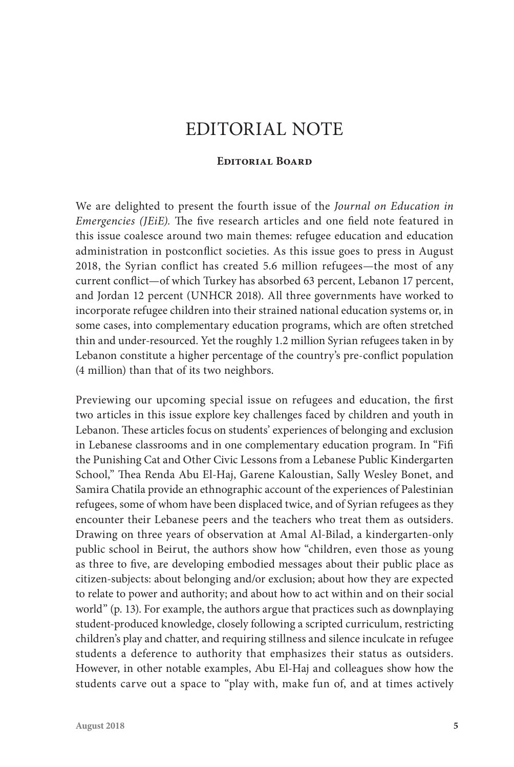# EDITORIAL NOTE

### **Editorial Board**

We are delighted to present the fourth issue of the *Journal on Education in Emergencies (JEiE).* The five research articles and one field note featured in this issue coalesce around two main themes: refugee education and education administration in postconflict societies. As this issue goes to press in August 2018, the Syrian conflict has created 5.6 million refugees—the most of any current conflict—of which Turkey has absorbed 63 percent, Lebanon 17 percent, and Jordan 12 percent (UNHCR 2018). All three governments have worked to incorporate refugee children into their strained national education systems or, in some cases, into complementary education programs, which are often stretched thin and under-resourced. Yet the roughly 1.2 million Syrian refugees taken in by Lebanon constitute a higher percentage of the country's pre-conflict population (4 million) than that of its two neighbors.

Previewing our upcoming special issue on refugees and education, the first two articles in this issue explore key challenges faced by children and youth in Lebanon. These articles focus on students' experiences of belonging and exclusion in Lebanese classrooms and in one complementary education program. In "Fifi the Punishing Cat and Other Civic Lessons from a Lebanese Public Kindergarten School," Thea Renda Abu El-Haj, Garene Kaloustian, Sally Wesley Bonet, and Samira Chatila provide an ethnographic account of the experiences of Palestinian refugees, some of whom have been displaced twice, and of Syrian refugees as they encounter their Lebanese peers and the teachers who treat them as outsiders. Drawing on three years of observation at Amal Al-Bilad, a kindergarten-only public school in Beirut, the authors show how "children, even those as young as three to five, are developing embodied messages about their public place as citizen-subjects: about belonging and/or exclusion; about how they are expected to relate to power and authority; and about how to act within and on their social world" (p. 13). For example, the authors argue that practices such as downplaying student-produced knowledge, closely following a scripted curriculum, restricting children's play and chatter, and requiring stillness and silence inculcate in refugee students a deference to authority that emphasizes their status as outsiders. However, in other notable examples, Abu El-Haj and colleagues show how the students carve out a space to "play with, make fun of, and at times actively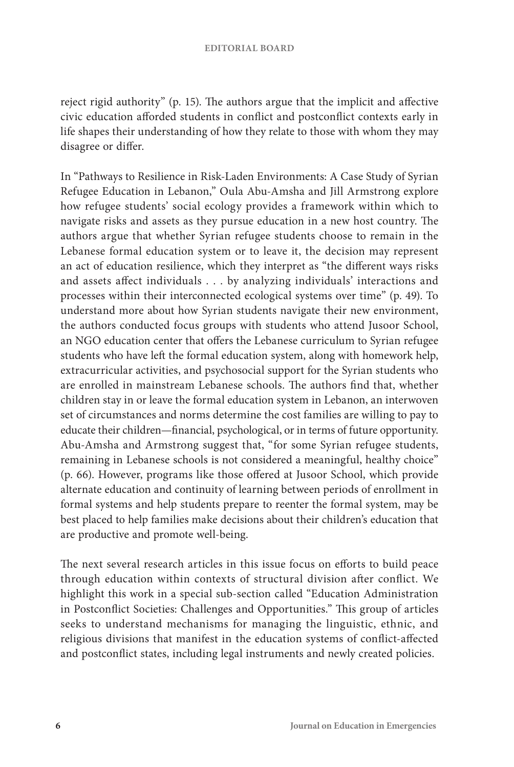reject rigid authority" (p. 15). The authors argue that the implicit and affective civic education afforded students in conflict and postconflict contexts early in life shapes their understanding of how they relate to those with whom they may disagree or differ.

In "Pathways to Resilience in Risk-Laden Environments: A Case Study of Syrian Refugee Education in Lebanon," Oula Abu-Amsha and Jill Armstrong explore how refugee students' social ecology provides a framework within which to navigate risks and assets as they pursue education in a new host country. The authors argue that whether Syrian refugee students choose to remain in the Lebanese formal education system or to leave it, the decision may represent an act of education resilience, which they interpret as "the different ways risks and assets affect individuals . . . by analyzing individuals' interactions and processes within their interconnected ecological systems over time" (p. 49). To understand more about how Syrian students navigate their new environment, the authors conducted focus groups with students who attend Jusoor School, an NGO education center that offers the Lebanese curriculum to Syrian refugee students who have left the formal education system, along with homework help, extracurricular activities, and psychosocial support for the Syrian students who are enrolled in mainstream Lebanese schools. The authors find that, whether children stay in or leave the formal education system in Lebanon, an interwoven set of circumstances and norms determine the cost families are willing to pay to educate their children—financial, psychological, or in terms of future opportunity. Abu-Amsha and Armstrong suggest that, "for some Syrian refugee students, remaining in Lebanese schools is not considered a meaningful, healthy choice" (p. 66). However, programs like those offered at Jusoor School, which provide alternate education and continuity of learning between periods of enrollment in formal systems and help students prepare to reenter the formal system, may be best placed to help families make decisions about their children's education that are productive and promote well-being.

The next several research articles in this issue focus on efforts to build peace through education within contexts of structural division after conflict. We highlight this work in a special sub-section called "Education Administration in Postconflict Societies: Challenges and Opportunities." This group of articles seeks to understand mechanisms for managing the linguistic, ethnic, and religious divisions that manifest in the education systems of conflict-affected and postconflict states, including legal instruments and newly created policies.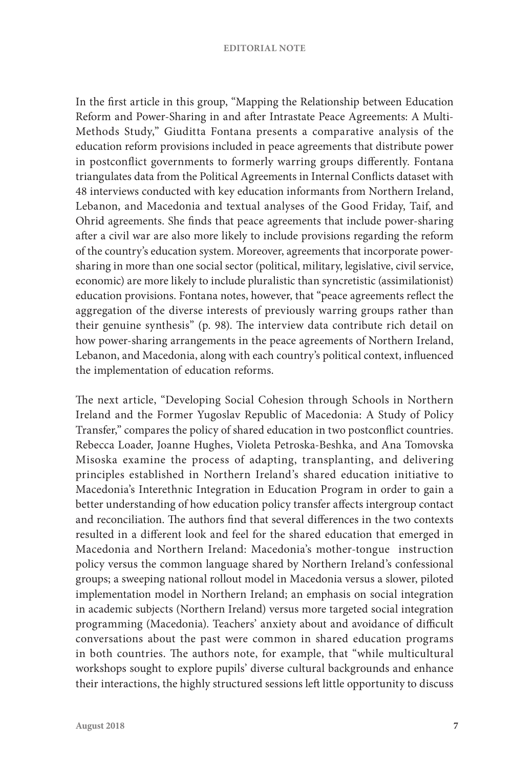#### **EDITORIAL NOTE**

In the first article in this group, "Mapping the Relationship between Education Reform and Power-Sharing in and after Intrastate Peace Agreements: A Multi-Methods Study," Giuditta Fontana presents a comparative analysis of the education reform provisions included in peace agreements that distribute power in postconflict governments to formerly warring groups differently. Fontana triangulates data from the Political Agreements in Internal Conflicts dataset with 48 interviews conducted with key education informants from Northern Ireland, Lebanon, and Macedonia and textual analyses of the Good Friday, Taif, and Ohrid agreements. She finds that peace agreements that include power-sharing after a civil war are also more likely to include provisions regarding the reform of the country's education system. Moreover, agreements that incorporate powersharing in more than one social sector (political, military, legislative, civil service, economic) are more likely to include pluralistic than syncretistic (assimilationist) education provisions. Fontana notes, however, that "peace agreements reflect the aggregation of the diverse interests of previously warring groups rather than their genuine synthesis" (p. 98). The interview data contribute rich detail on how power-sharing arrangements in the peace agreements of Northern Ireland, Lebanon, and Macedonia, along with each country's political context, influenced the implementation of education reforms.

The next article, "Developing Social Cohesion through Schools in Northern Ireland and the Former Yugoslav Republic of Macedonia: A Study of Policy Transfer," compares the policy of shared education in two postconflict countries. Rebecca Loader, Joanne Hughes, Violeta Petroska-Beshka, and Ana Tomovska Misoska examine the process of adapting, transplanting, and delivering principles established in Northern Ireland's shared education initiative to Macedonia's Interethnic Integration in Education Program in order to gain a better understanding of how education policy transfer affects intergroup contact and reconciliation. The authors find that several differences in the two contexts resulted in a different look and feel for the shared education that emerged in Macedonia and Northern Ireland: Macedonia's mother-tongue instruction policy versus the common language shared by Northern Ireland's confessional groups; a sweeping national rollout model in Macedonia versus a slower, piloted implementation model in Northern Ireland; an emphasis on social integration in academic subjects (Northern Ireland) versus more targeted social integration programming (Macedonia). Teachers' anxiety about and avoidance of difficult conversations about the past were common in shared education programs in both countries. The authors note, for example, that "while multicultural workshops sought to explore pupils' diverse cultural backgrounds and enhance their interactions, the highly structured sessions left little opportunity to discuss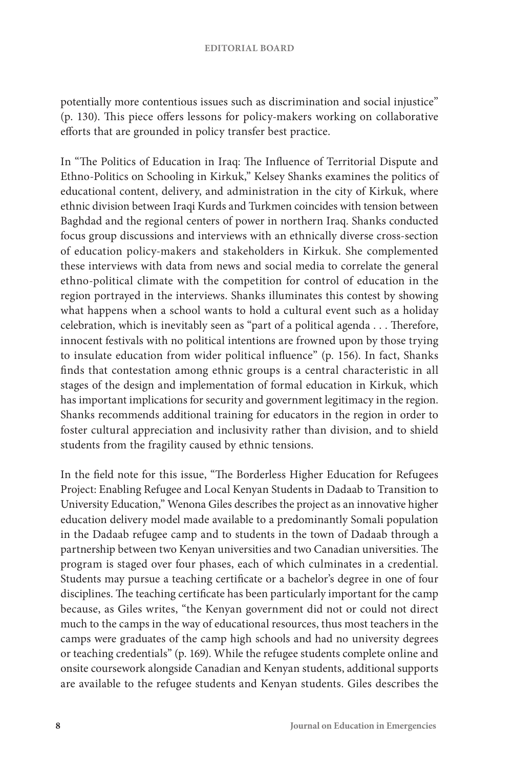#### **EDITORIAL BOARD**

potentially more contentious issues such as discrimination and social injustice" (p. 130). This piece offers lessons for policy-makers working on collaborative efforts that are grounded in policy transfer best practice.

In "The Politics of Education in Iraq: The Influence of Territorial Dispute and Ethno-Politics on Schooling in Kirkuk," Kelsey Shanks examines the politics of educational content, delivery, and administration in the city of Kirkuk, where ethnic division between Iraqi Kurds and Turkmen coincides with tension between Baghdad and the regional centers of power in northern Iraq. Shanks conducted focus group discussions and interviews with an ethnically diverse cross-section of education policy-makers and stakeholders in Kirkuk. She complemented these interviews with data from news and social media to correlate the general ethno-political climate with the competition for control of education in the region portrayed in the interviews. Shanks illuminates this contest by showing what happens when a school wants to hold a cultural event such as a holiday celebration, which is inevitably seen as "part of a political agenda . . . Therefore, innocent festivals with no political intentions are frowned upon by those trying to insulate education from wider political influence" (p. 156). In fact, Shanks finds that contestation among ethnic groups is a central characteristic in all stages of the design and implementation of formal education in Kirkuk, which has important implications for security and government legitimacy in the region. Shanks recommends additional training for educators in the region in order to foster cultural appreciation and inclusivity rather than division, and to shield students from the fragility caused by ethnic tensions.

In the field note for this issue, "The Borderless Higher Education for Refugees Project: Enabling Refugee and Local Kenyan Students in Dadaab to Transition to University Education," Wenona Giles describes the project as an innovative higher education delivery model made available to a predominantly Somali population in the Dadaab refugee camp and to students in the town of Dadaab through a partnership between two Kenyan universities and two Canadian universities. The program is staged over four phases, each of which culminates in a credential. Students may pursue a teaching certificate or a bachelor's degree in one of four disciplines. The teaching certificate has been particularly important for the camp because, as Giles writes, "the Kenyan government did not or could not direct much to the camps in the way of educational resources, thus most teachers in the camps were graduates of the camp high schools and had no university degrees or teaching credentials" (p. 169). While the refugee students complete online and onsite coursework alongside Canadian and Kenyan students, additional supports are available to the refugee students and Kenyan students. Giles describes the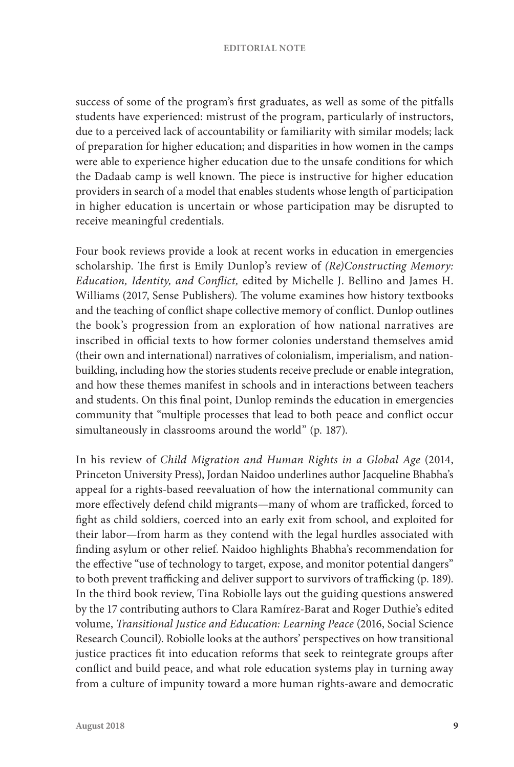#### **EDITORIAL NOTE**

success of some of the program's first graduates, as well as some of the pitfalls students have experienced: mistrust of the program, particularly of instructors, due to a perceived lack of accountability or familiarity with similar models; lack of preparation for higher education; and disparities in how women in the camps were able to experience higher education due to the unsafe conditions for which the Dadaab camp is well known. The piece is instructive for higher education providers in search of a model that enables students whose length of participation in higher education is uncertain or whose participation may be disrupted to receive meaningful credentials.

Four book reviews provide a look at recent works in education in emergencies scholarship. The first is Emily Dunlop's review of *(Re)Constructing Memory: Education, Identity, and Conflict,* edited by Michelle J. Bellino and James H. Williams (2017, Sense Publishers). The volume examines how history textbooks and the teaching of conflict shape collective memory of conflict. Dunlop outlines the book's progression from an exploration of how national narratives are inscribed in official texts to how former colonies understand themselves amid (their own and international) narratives of colonialism, imperialism, and nationbuilding, including how the stories students receive preclude or enable integration, and how these themes manifest in schools and in interactions between teachers and students. On this final point, Dunlop reminds the education in emergencies community that "multiple processes that lead to both peace and conflict occur simultaneously in classrooms around the world" (p. 187).

In his review of *Child Migration and Human Rights in a Global Age* (2014, Princeton University Press), Jordan Naidoo underlines author Jacqueline Bhabha's appeal for a rights-based reevaluation of how the international community can more effectively defend child migrants—many of whom are trafficked, forced to fight as child soldiers, coerced into an early exit from school, and exploited for their labor—from harm as they contend with the legal hurdles associated with finding asylum or other relief. Naidoo highlights Bhabha's recommendation for the effective "use of technology to target, expose, and monitor potential dangers" to both prevent trafficking and deliver support to survivors of trafficking (p. 189). In the third book review, Tina Robiolle lays out the guiding questions answered by the 17 contributing authors to Clara Ramírez-Barat and Roger Duthie's edited volume, *Transitional Justice and Education: Learning Peace* (2016, Social Science Research Council). Robiolle looks at the authors' perspectives on how transitional justice practices fit into education reforms that seek to reintegrate groups after conflict and build peace, and what role education systems play in turning away from a culture of impunity toward a more human rights-aware and democratic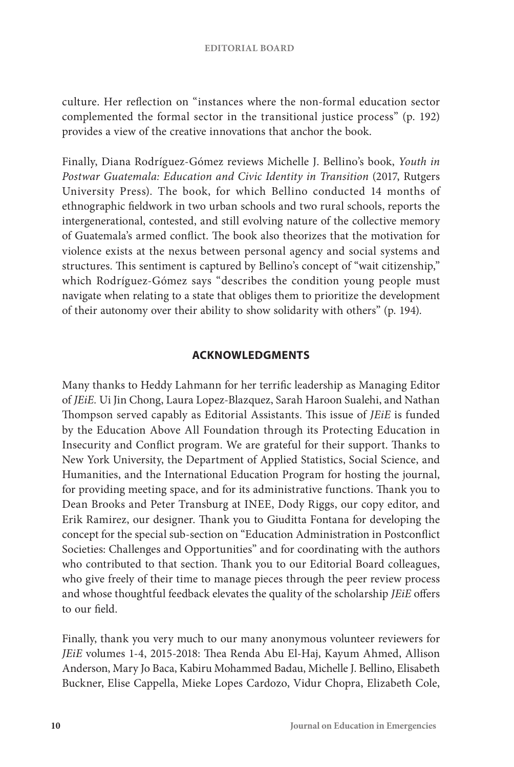culture. Her reflection on "instances where the non-formal education sector complemented the formal sector in the transitional justice process" (p. 192) provides a view of the creative innovations that anchor the book.

Finally, Diana Rodríguez-Gómez reviews Michelle J. Bellino's book, *Youth in Postwar Guatemala: Education and Civic Identity in Transition* (2017, Rutgers University Press). The book, for which Bellino conducted 14 months of ethnographic fieldwork in two urban schools and two rural schools, reports the intergenerational, contested, and still evolving nature of the collective memory of Guatemala's armed conflict. The book also theorizes that the motivation for violence exists at the nexus between personal agency and social systems and structures. This sentiment is captured by Bellino's concept of "wait citizenship," which Rodríguez-Gómez says "describes the condition young people must navigate when relating to a state that obliges them to prioritize the development of their autonomy over their ability to show solidarity with others" (p. 194).

## **ACKNOWLEDGMENTS**

Many thanks to Heddy Lahmann for her terrific leadership as Managing Editor of *JEiE.* Ui Jin Chong, Laura Lopez-Blazquez, Sarah Haroon Sualehi, and Nathan Thompson served capably as Editorial Assistants. This issue of *JEiE* is funded by the Education Above All Foundation through its Protecting Education in Insecurity and Conflict program. We are grateful for their support. Thanks to New York University, the Department of Applied Statistics, Social Science, and Humanities, and the International Education Program for hosting the journal, for providing meeting space, and for its administrative functions. Thank you to Dean Brooks and Peter Transburg at INEE, Dody Riggs, our copy editor, and Erik Ramirez, our designer. Thank you to Giuditta Fontana for developing the concept for the special sub-section on "Education Administration in Postconflict Societies: Challenges and Opportunities" and for coordinating with the authors who contributed to that section. Thank you to our Editorial Board colleagues, who give freely of their time to manage pieces through the peer review process and whose thoughtful feedback elevates the quality of the scholarship *JEiE* offers to our field.

Finally, thank you very much to our many anonymous volunteer reviewers for *JEiE* volumes 1-4, 2015-2018: Thea Renda Abu El-Haj, Kayum Ahmed, Allison Anderson, Mary Jo Baca, Kabiru Mohammed Badau, Michelle J. Bellino, Elisabeth Buckner, Elise Cappella, Mieke Lopes Cardozo, Vidur Chopra, Elizabeth Cole,